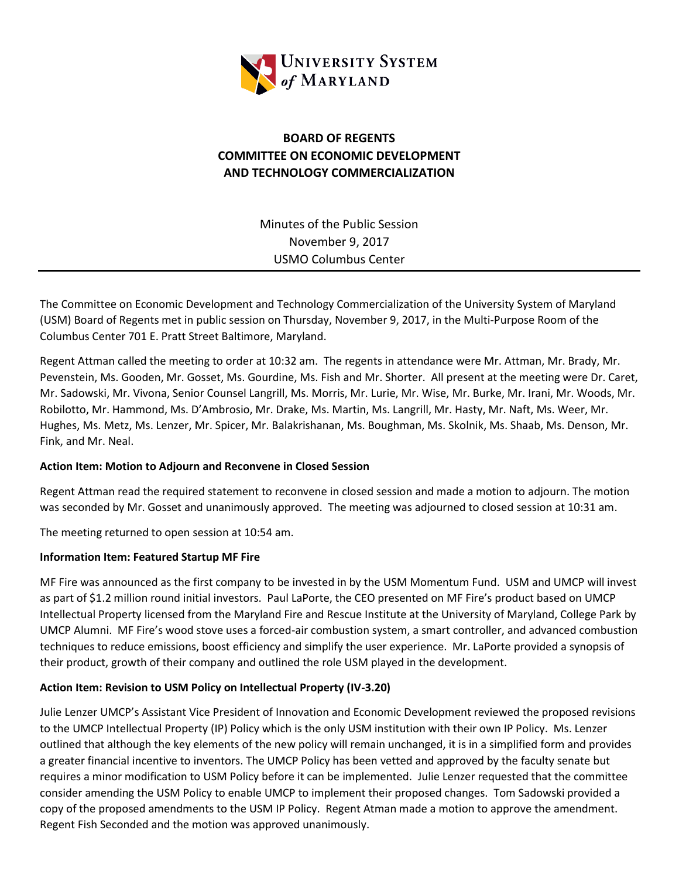

# **BOARD OF REGENTS COMMITTEE ON ECONOMIC DEVELOPMENT AND TECHNOLOGY COMMERCIALIZATION**

Minutes of the Public Session November 9, 2017 USMO Columbus Center

The Committee on Economic Development and Technology Commercialization of the University System of Maryland (USM) Board of Regents met in public session on Thursday, November 9, 2017, in the Multi-Purpose Room of the Columbus Center 701 E. Pratt Street Baltimore, Maryland.

Regent Attman called the meeting to order at 10:32 am. The regents in attendance were Mr. Attman, Mr. Brady, Mr. Pevenstein, Ms. Gooden, Mr. Gosset, Ms. Gourdine, Ms. Fish and Mr. Shorter. All present at the meeting were Dr. Caret, Mr. Sadowski, Mr. Vivona, Senior Counsel Langrill, Ms. Morris, Mr. Lurie, Mr. Wise, Mr. Burke, Mr. Irani, Mr. Woods, Mr. Robilotto, Mr. Hammond, Ms. D'Ambrosio, Mr. Drake, Ms. Martin, Ms. Langrill, Mr. Hasty, Mr. Naft, Ms. Weer, Mr. Hughes, Ms. Metz, Ms. Lenzer, Mr. Spicer, Mr. Balakrishanan, Ms. Boughman, Ms. Skolnik, Ms. Shaab, Ms. Denson, Mr. Fink, and Mr. Neal.

#### **Action Item: Motion to Adjourn and Reconvene in Closed Session**

Regent Attman read the required statement to reconvene in closed session and made a motion to adjourn. The motion was seconded by Mr. Gosset and unanimously approved. The meeting was adjourned to closed session at 10:31 am.

The meeting returned to open session at 10:54 am.

#### **Information Item: Featured Startup MF Fire**

MF Fire was announced as the first company to be invested in by the USM Momentum Fund. USM and UMCP will invest as part of \$1.2 million round initial investors. Paul LaPorte, the CEO presented on MF Fire's product based on UMCP Intellectual Property licensed from the Maryland Fire and Rescue Institute at the University of Maryland, College Park by UMCP Alumni. MF Fire's wood stove uses a forced-air combustion system, a smart controller, and advanced combustion techniques to reduce emissions, boost efficiency and simplify the user experience. Mr. LaPorte provided a synopsis of their product, growth of their company and outlined the role USM played in the development.

## **Action Item: Revision to USM Policy on Intellectual Property (IV-3.20)**

Julie Lenzer UMCP's Assistant Vice President of Innovation and Economic Development reviewed the proposed revisions to the UMCP Intellectual Property (IP) Policy which is the only USM institution with their own IP Policy. Ms. Lenzer outlined that although the key elements of the new policy will remain unchanged, it is in a simplified form and provides a greater financial incentive to inventors. The UMCP Policy has been vetted and approved by the faculty senate but requires a minor modification to USM Policy before it can be implemented. Julie Lenzer requested that the committee consider amending the USM Policy to enable UMCP to implement their proposed changes. Tom Sadowski provided a copy of the proposed amendments to the USM IP Policy. Regent Atman made a motion to approve the amendment. Regent Fish Seconded and the motion was approved unanimously.